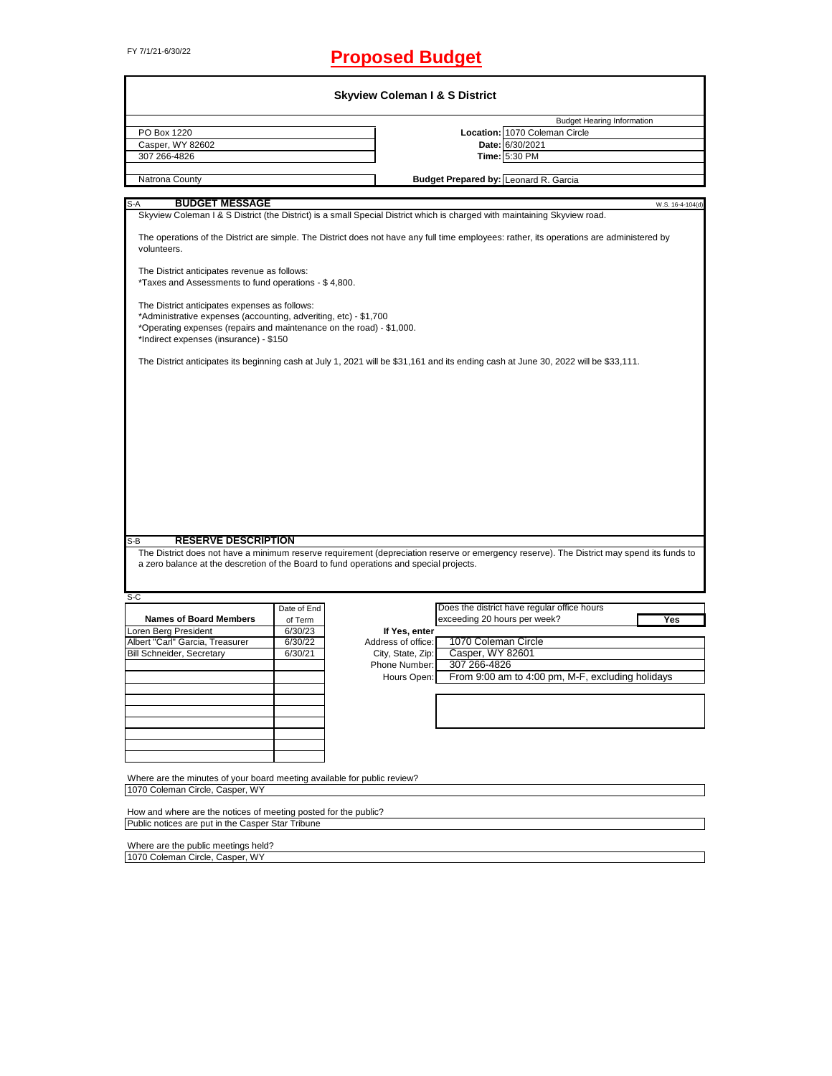# FY 7/1/21-6/30/22 **Proposed Budget**

|                                                                                                                                                                                                                                     |                    | <b>Budget Hearing Information</b>                                                                                                             |
|-------------------------------------------------------------------------------------------------------------------------------------------------------------------------------------------------------------------------------------|--------------------|-----------------------------------------------------------------------------------------------------------------------------------------------|
| PO Box 1220                                                                                                                                                                                                                         |                    | Location: 1070 Coleman Circle                                                                                                                 |
| Casper, WY 82602                                                                                                                                                                                                                    |                    | Date: 6/30/2021                                                                                                                               |
| 307 266-4826                                                                                                                                                                                                                        |                    | Time: 5:30 PM                                                                                                                                 |
| Natrona County                                                                                                                                                                                                                      |                    | Budget Prepared by: Leonard R. Garcia                                                                                                         |
|                                                                                                                                                                                                                                     |                    |                                                                                                                                               |
| <b>BUDGET MESSAGE</b><br>S-A                                                                                                                                                                                                        |                    | W.S. 16-4-104(d)<br>Skyview Coleman I & S District (the District) is a small Special District which is charged with maintaining Skyview road. |
| volunteers.                                                                                                                                                                                                                         |                    | The operations of the District are simple. The District does not have any full time employees: rather, its operations are administered by     |
| The District anticipates revenue as follows:<br>*Taxes and Assessments to fund operations - \$4,800.                                                                                                                                |                    |                                                                                                                                               |
| The District anticipates expenses as follows:<br>*Administrative expenses (accounting, adveriting, etc) - \$1,700<br>*Operating expenses (repairs and maintenance on the road) - \$1,000.<br>*Indirect expenses (insurance) - \$150 |                    |                                                                                                                                               |
|                                                                                                                                                                                                                                     |                    | The District anticipates its beginning cash at July 1, 2021 will be \$31,161 and its ending cash at June 30, 2022 will be \$33,111.           |
|                                                                                                                                                                                                                                     |                    |                                                                                                                                               |
|                                                                                                                                                                                                                                     |                    |                                                                                                                                               |
|                                                                                                                                                                                                                                     |                    |                                                                                                                                               |
|                                                                                                                                                                                                                                     |                    |                                                                                                                                               |
|                                                                                                                                                                                                                                     |                    |                                                                                                                                               |
|                                                                                                                                                                                                                                     |                    |                                                                                                                                               |
|                                                                                                                                                                                                                                     |                    |                                                                                                                                               |
|                                                                                                                                                                                                                                     |                    |                                                                                                                                               |
|                                                                                                                                                                                                                                     |                    |                                                                                                                                               |
|                                                                                                                                                                                                                                     |                    |                                                                                                                                               |
|                                                                                                                                                                                                                                     |                    |                                                                                                                                               |
|                                                                                                                                                                                                                                     |                    |                                                                                                                                               |
|                                                                                                                                                                                                                                     |                    |                                                                                                                                               |
| <b>RESERVE DESCRIPTION</b>                                                                                                                                                                                                          |                    |                                                                                                                                               |
|                                                                                                                                                                                                                                     |                    |                                                                                                                                               |
|                                                                                                                                                                                                                                     |                    | a zero balance at the descretion of the Board to fund operations and special projects.                                                        |
|                                                                                                                                                                                                                                     |                    |                                                                                                                                               |
|                                                                                                                                                                                                                                     |                    |                                                                                                                                               |
|                                                                                                                                                                                                                                     | Date of End        | Does the district have regular office hours                                                                                                   |
| <b>Names of Board Members</b>                                                                                                                                                                                                       | of Term            | exceeding 20 hours per week?<br>Yes<br>If Yes, enter                                                                                          |
|                                                                                                                                                                                                                                     | 6/30/23<br>6/30/22 | Address of office:<br>1070 Coleman Circle                                                                                                     |
|                                                                                                                                                                                                                                     | 6/30/21            | Casper, WY 82601<br>City, State, Zip:                                                                                                         |
|                                                                                                                                                                                                                                     |                    | 307 266-4826<br>Phone Number:                                                                                                                 |
|                                                                                                                                                                                                                                     |                    | From 9:00 am to 4:00 pm, M-F, excluding holidays<br>Hours Open:                                                                               |
|                                                                                                                                                                                                                                     |                    |                                                                                                                                               |
|                                                                                                                                                                                                                                     |                    |                                                                                                                                               |
|                                                                                                                                                                                                                                     |                    | The District does not have a minimum reserve requirement (depreciation reserve or emergency reserve). The District may spend its funds to     |
| S-B<br>S-C<br>Loren Berg President<br>Albert "Carl" Garcia, Treasurer<br><b>Bill Schneider, Secretary</b>                                                                                                                           |                    |                                                                                                                                               |
|                                                                                                                                                                                                                                     |                    |                                                                                                                                               |
|                                                                                                                                                                                                                                     |                    |                                                                                                                                               |
|                                                                                                                                                                                                                                     |                    |                                                                                                                                               |
| Where are the minutes of your board meeting available for public review?                                                                                                                                                            |                    |                                                                                                                                               |
| 1070 Coleman Circle, Casper, WY                                                                                                                                                                                                     |                    |                                                                                                                                               |

Where are the public meetings held? 1070 Coleman Circle, Casper, WY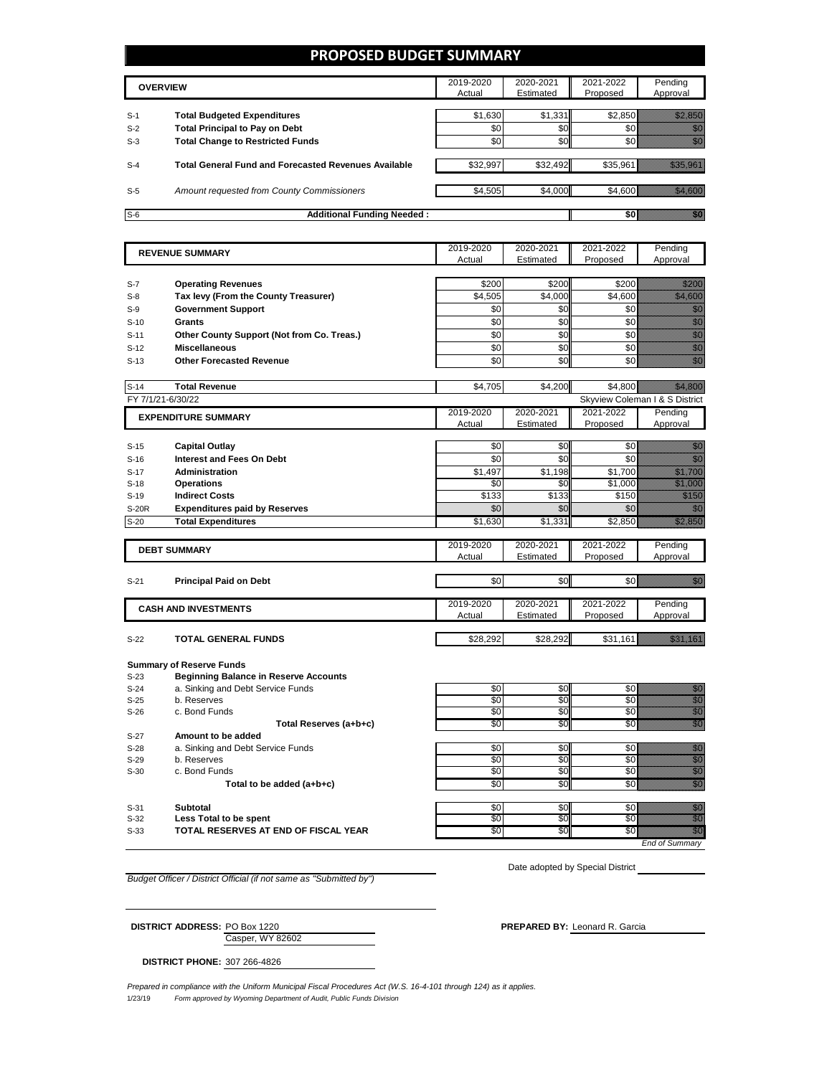## **PROPOSED BUDGET SUMMARY**

|       | <b>OVERVIEW</b>                                             | 2019-2020<br>Actual | 2020-2021<br>Estimated | 2021-2022<br>Proposed | Pending<br>Approval |
|-------|-------------------------------------------------------------|---------------------|------------------------|-----------------------|---------------------|
| $S-1$ | <b>Total Budgeted Expenditures</b>                          | \$1,630             | \$1,331                | \$2.850               |                     |
| $S-2$ | <b>Total Principal to Pay on Debt</b>                       | \$0                 | \$0                    |                       |                     |
| $S-3$ | <b>Total Change to Restricted Funds</b>                     | \$0                 | \$0                    |                       |                     |
| $S-4$ | <b>Total General Fund and Forecasted Revenues Available</b> | \$32,997            | \$32,492               | \$35.961              |                     |
| $S-5$ | Amount requested from County Commissioners                  | \$4,505             | \$4,000                | \$4.600               |                     |
| $S-6$ | <b>Additional Funding Needed:</b>                           |                     |                        |                       |                     |

|                        |                                                           | 2019-2020           | 2020-2021              | 2021-2022             | Pending                                                                                                                                                                                                                                                                        |
|------------------------|-----------------------------------------------------------|---------------------|------------------------|-----------------------|--------------------------------------------------------------------------------------------------------------------------------------------------------------------------------------------------------------------------------------------------------------------------------|
| <b>REVENUE SUMMARY</b> |                                                           | Actual              | Estimated              | Proposed              | Approval                                                                                                                                                                                                                                                                       |
|                        |                                                           |                     |                        |                       |                                                                                                                                                                                                                                                                                |
| S-7                    | <b>Operating Revenues</b>                                 | \$200               | \$200                  | \$200                 | <u>filmoon</u>                                                                                                                                                                                                                                                                 |
| $S-8$                  | Tax levy (From the County Treasurer)                      | \$4,505             | \$4,000                | \$4,600               | <u>tik ka</u>                                                                                                                                                                                                                                                                  |
| $S-9$                  | <b>Government Support</b>                                 | \$0                 | \$0                    | \$0                   | en de la familie de la familie de la familie de la familie de la familie de la familie de la familie de la fam<br>Concello de la familie de la familie de la familie de la familie de la familie de la familie de la familie de                                                |
| $S-10$                 | Grants                                                    | \$0                 | \$0                    | \$0                   |                                                                                                                                                                                                                                                                                |
| $S-11$                 | Other County Support (Not from Co. Treas.)                | \$0                 | \$0                    | \$0                   | e de la composición de la composición de la composición de la composición de la composición de la composición<br>Composición de la composición de la composición de la composición de la composición de la composición de la co                                                |
| $S-12$                 | <b>Miscellaneous</b>                                      | \$0                 | \$0                    | \$0                   | en de la familie de la familie de la familie de la familie de la familie de la familie de la familie de la fam<br>Constituit de la familie de la familie de la familie de la familie de la familie de la familie de la familie d                                               |
| $S-13$                 | <b>Other Forecasted Revenue</b>                           | \$0                 | \$0                    | \$0                   | en de la familie de la familie de la familie de la familie de la familie de la familie de la familie de la fam<br>Construction de la familie de la familie de la familie de la familie de la familie de la familie de la familie                                               |
|                        |                                                           |                     |                        |                       |                                                                                                                                                                                                                                                                                |
| $S-14$                 | <b>Total Revenue</b>                                      | \$4,705             | \$4,200                | \$4,800               |                                                                                                                                                                                                                                                                                |
| FY 7/1/21-6/30/22      |                                                           |                     |                        |                       | Skyview Coleman I & S District                                                                                                                                                                                                                                                 |
|                        | <b>EXPENDITURE SUMMARY</b>                                | 2019-2020           | 2020-2021              | 2021-2022             | Pending                                                                                                                                                                                                                                                                        |
|                        |                                                           | Actual              | Estimated              | Proposed              | Approval                                                                                                                                                                                                                                                                       |
|                        |                                                           |                     |                        |                       |                                                                                                                                                                                                                                                                                |
| $S-15$                 | <b>Capital Outlay</b><br><b>Interest and Fees On Debt</b> | \$0<br>\$0          | \$0<br>\$0             | \$0<br>\$0            | en de la familie de la familie de la familie de la familie de la familie de la familie de la familie de la fa<br>Constitution de la familie de la familie de la familie de la familie de la familie de la familie de la familie<br>en de la filosofia<br>Monte de la filosofia |
| $S-16$                 |                                                           |                     |                        |                       |                                                                                                                                                                                                                                                                                |
| $S-17$<br>$S-18$       | <b>Administration</b>                                     | \$1,497<br>\$0      | \$1,198<br>\$0         | \$1.700<br>\$1,000    | <u>tik kuningan di kacamatan di kacamatan di kacamatan di kacamatan di kacamatan di kacamatan di kacamatan di ka</u>                                                                                                                                                           |
| $S-19$                 | <b>Operations</b><br><b>Indirect Costs</b>                | \$133               | \$133                  | \$150                 | e de la filosofia<br>California                                                                                                                                                                                                                                                |
| <b>S-20R</b>           | <b>Expenditures paid by Reserves</b>                      | \$0                 | \$0                    | \$0                   | en de la familie de la familie de la familie de la familie de la familie de la familie de la familie de la fam<br>De la familie de la familie de la familie de la familie de la familie de la familie de la familie de la famili                                               |
| $S-20$                 | <b>Total Expenditures</b>                                 | \$1,630             | \$1,331                | \$2,850               | a katika kalendari ya katika alifuwa alifuwa alifuwa alifuwa alifuwa alifuwa alifuwa alifuwa alifuwa alifuwa a<br>Katika katika katika katika katika katika katika alifuwa alifuwa alifuwa alifuwa alifuwa alifuwa alifuwa alifu                                               |
|                        |                                                           |                     |                        |                       |                                                                                                                                                                                                                                                                                |
|                        | <b>DEBT SUMMARY</b>                                       | 2019-2020           | 2020-2021              | 2021-2022             | Pending                                                                                                                                                                                                                                                                        |
|                        |                                                           | Actual              | Estimated              | Proposed              | Approval                                                                                                                                                                                                                                                                       |
|                        |                                                           |                     |                        |                       |                                                                                                                                                                                                                                                                                |
| $S-21$                 | <b>Principal Paid on Debt</b>                             | \$0                 | \$0                    | \$0                   | en de la familie de la familie de la familie de la familie de la familie de la familie de la familie de la fam<br>Constituit de la familie de la familie de la familie de la familie de la familie de la familie de la familie d                                               |
|                        |                                                           |                     |                        |                       |                                                                                                                                                                                                                                                                                |
|                        | <b>CASH AND INVESTMENTS</b>                               | 2019-2020<br>Actual | 2020-2021<br>Estimated | 2021-2022<br>Proposed | Pending<br>Approval                                                                                                                                                                                                                                                            |
|                        |                                                           |                     |                        |                       |                                                                                                                                                                                                                                                                                |
| $S-22$                 | <b>TOTAL GENERAL FUNDS</b>                                | \$28,292            | \$28,292               | \$31,161              | <u>istoriano e</u>                                                                                                                                                                                                                                                             |
|                        |                                                           |                     |                        |                       |                                                                                                                                                                                                                                                                                |
|                        | <b>Summary of Reserve Funds</b>                           |                     |                        |                       |                                                                                                                                                                                                                                                                                |
| $S-23$                 | <b>Beginning Balance in Reserve Accounts</b>              |                     |                        |                       |                                                                                                                                                                                                                                                                                |
| $S-24$                 | a. Sinking and Debt Service Funds                         | \$0                 | \$0                    | \$0                   | en de la filosofia<br>Maria de la filòla del contener del contener del contener del contener del contener del contener del contener<br>Maria del contener del contener del contener del contener del contener del contener del conte                                           |
| $S-25$                 | b. Reserves                                               | \$0                 | \$0                    | \$0                   | allian<br>Maria Baratona<br>Maria Baratona                                                                                                                                                                                                                                     |
| $S-26$                 | c. Bond Funds                                             | \$0                 | \$0                    | \$0                   |                                                                                                                                                                                                                                                                                |
|                        | Total Reserves (a+b+c)                                    | \$0                 | \$0                    | \$0                   | en de la filosofia<br>Altres de la filosofia                                                                                                                                                                                                                                   |
| $S-27$                 | Amount to be added                                        |                     |                        |                       |                                                                                                                                                                                                                                                                                |
| $S-28$                 | a. Sinking and Debt Service Funds                         | \$0                 | \$0                    | \$0                   |                                                                                                                                                                                                                                                                                |
| $S-29$<br>$S-30$       | b. Reserves<br>c. Bond Funds                              | \$0<br>\$0          | \$0<br>\$0             | \$0<br>\$0            | e de la construcción de la construcción de la construcción de la construcción de la construcción de la constru                                                                                                                                                                 |
|                        | Total to be added (a+b+c)                                 | \$0                 | \$0                    | \$0                   | an dhe                                                                                                                                                                                                                                                                         |
|                        |                                                           |                     |                        |                       |                                                                                                                                                                                                                                                                                |

S-31 **Subtotal** \$0 \$0 \$0 \$0 S-32 **Less Total to be spent** \$0 \$0 \$0 \$0

S-33 **TOTAL RESERVES AT END OF FISCAL YEAR** \$0 \$0 \$0 \$0

*End of Summary*

*Budget Officer / District Official (if not same as "Submitted by")*

Date adopted by Special District

Casper, WY 82602 **DISTRICT ADDRESS:** PO Box 1220 **PREPARED BY:** Leonard R. Garcia

**DISTRICT PHONE:** 307 266-4826

1/23/19 *Form approved by Wyoming Department of Audit, Public Funds Division Prepared in compliance with the Uniform Municipal Fiscal Procedures Act (W.S. 16-4-101 through 124) as it applies.*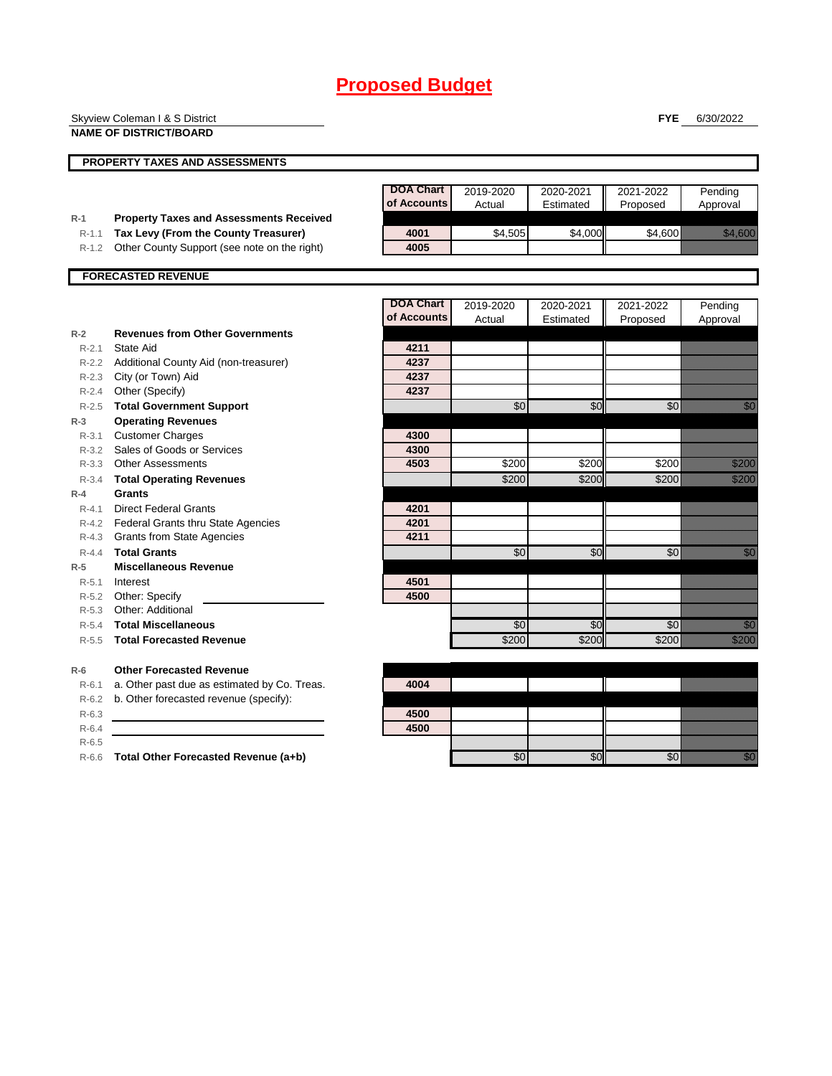|           | Skyview Coleman I & S District                 |                  |                 |           | <b>FYE</b> | 6/30/2022                                                                                                                                                                                                                      |
|-----------|------------------------------------------------|------------------|-----------------|-----------|------------|--------------------------------------------------------------------------------------------------------------------------------------------------------------------------------------------------------------------------------|
|           | <b>NAME OF DISTRICT/BOARD</b>                  |                  |                 |           |            |                                                                                                                                                                                                                                |
|           |                                                |                  |                 |           |            |                                                                                                                                                                                                                                |
|           | <b>PROPERTY TAXES AND ASSESSMENTS</b>          |                  |                 |           |            |                                                                                                                                                                                                                                |
|           |                                                |                  |                 |           |            |                                                                                                                                                                                                                                |
|           |                                                | <b>DOA Chart</b> | 2019-2020       | 2020-2021 | 2021-2022  | Pending                                                                                                                                                                                                                        |
|           |                                                | of Accounts      | Actual          | Estimated | Proposed   | Approval                                                                                                                                                                                                                       |
| $R-1$     | <b>Property Taxes and Assessments Received</b> |                  |                 |           |            |                                                                                                                                                                                                                                |
| $R-1.1$   | Tax Levy (From the County Treasurer)           | 4001             | \$4,505         | \$4,000   | \$4,600    | <u>ti ka</u>                                                                                                                                                                                                                   |
| $R-1.2$   | Other County Support (see note on the right)   | 4005             |                 |           |            |                                                                                                                                                                                                                                |
|           | <b>FORECASTED REVENUE</b>                      |                  |                 |           |            |                                                                                                                                                                                                                                |
|           |                                                |                  |                 |           |            |                                                                                                                                                                                                                                |
|           |                                                | <b>DOA Chart</b> | 2019-2020       | 2020-2021 | 2021-2022  | Pending                                                                                                                                                                                                                        |
|           |                                                | of Accounts      | Actual          | Estimated | Proposed   | Approval                                                                                                                                                                                                                       |
| $R-2$     | <b>Revenues from Other Governments</b>         |                  |                 |           |            |                                                                                                                                                                                                                                |
| $R - 2.1$ | State Aid                                      | 4211             |                 |           |            |                                                                                                                                                                                                                                |
| R-2.2     | Additional County Aid (non-treasurer)          | 4237             |                 |           |            |                                                                                                                                                                                                                                |
|           | R-2.3 City (or Town) Aid                       | 4237             |                 |           |            |                                                                                                                                                                                                                                |
|           | R-2.4 Other (Specify)                          | 4237             |                 |           |            |                                                                                                                                                                                                                                |
|           | R-2.5 Total Government Support                 |                  | $\overline{50}$ | \$0       | $\sqrt{6}$ | <u>film</u>                                                                                                                                                                                                                    |
| $R-3$     | <b>Operating Revenues</b>                      |                  |                 |           |            |                                                                                                                                                                                                                                |
| R-3.1     | <b>Customer Charges</b>                        | 4300             |                 |           |            |                                                                                                                                                                                                                                |
|           | R-3.2 Sales of Goods or Services               | 4300             |                 |           |            |                                                                                                                                                                                                                                |
| $R - 3.3$ | <b>Other Assessments</b>                       | 4503             | \$200           | \$200     | \$200      | <u>ti ka</u>                                                                                                                                                                                                                   |
| $R - 3.4$ | <b>Total Operating Revenues</b>                |                  | \$200           | \$200     | \$200      | a a an an an a                                                                                                                                                                                                                 |
| $R-4$     | Grants                                         |                  |                 |           |            |                                                                                                                                                                                                                                |
| $R - 4.1$ | <b>Direct Federal Grants</b>                   | 4201             |                 |           |            |                                                                                                                                                                                                                                |
|           | R-4.2 Federal Grants thru State Agencies       | 4201             |                 |           |            |                                                                                                                                                                                                                                |
| R-4.3     | <b>Grants from State Agencies</b>              | 4211             |                 |           |            |                                                                                                                                                                                                                                |
| $R - 4.4$ | <b>Total Grants</b>                            |                  | \$0             | \$0       | \$0        | en de la familie de la familie de la familie de la familie de la familie de la familie de la familie de la fa<br>Concello de la familie de la familie de la familie de la familie de la familie de la familie de la familie de |
| $R-5$     | <b>Miscellaneous Revenue</b>                   |                  |                 |           |            |                                                                                                                                                                                                                                |
| $R - 5.1$ | Interest                                       | 4501             |                 |           |            |                                                                                                                                                                                                                                |
|           | R-5.2 Other: Specify                           | 4500             |                 |           |            |                                                                                                                                                                                                                                |
| $R - 5.3$ | Other: Additional                              |                  |                 |           |            |                                                                                                                                                                                                                                |
| $R-5.4$   | <b>Total Miscellaneous</b>                     |                  | \$0             | \$0       | \$0        | an dhe                                                                                                                                                                                                                         |
| $R-5.5$   | <b>Total Forecasted Revenue</b>                |                  | \$200           | \$200     | \$200      | <u>Million</u>                                                                                                                                                                                                                 |
|           |                                                |                  |                 |           |            |                                                                                                                                                                                                                                |
| $R-6$     | <b>Other Forecasted Revenue</b>                |                  |                 |           |            |                                                                                                                                                                                                                                |
| $R-6.1$   | a. Other past due as estimated by Co. Treas.   | 4004             |                 |           |            |                                                                                                                                                                                                                                |
| $R-6.2$   | b. Other forecasted revenue (specify):         |                  |                 |           |            |                                                                                                                                                                                                                                |
| $R-6.3$   |                                                | 4500             |                 |           |            |                                                                                                                                                                                                                                |
| $R-6.4$   |                                                | 4500             |                 |           |            |                                                                                                                                                                                                                                |
| $R-6.5$   |                                                |                  |                 |           |            |                                                                                                                                                                                                                                |

R-6.6 **Total Other Forecasted Revenue (a+b)** \$0 \$0 \$0 \$0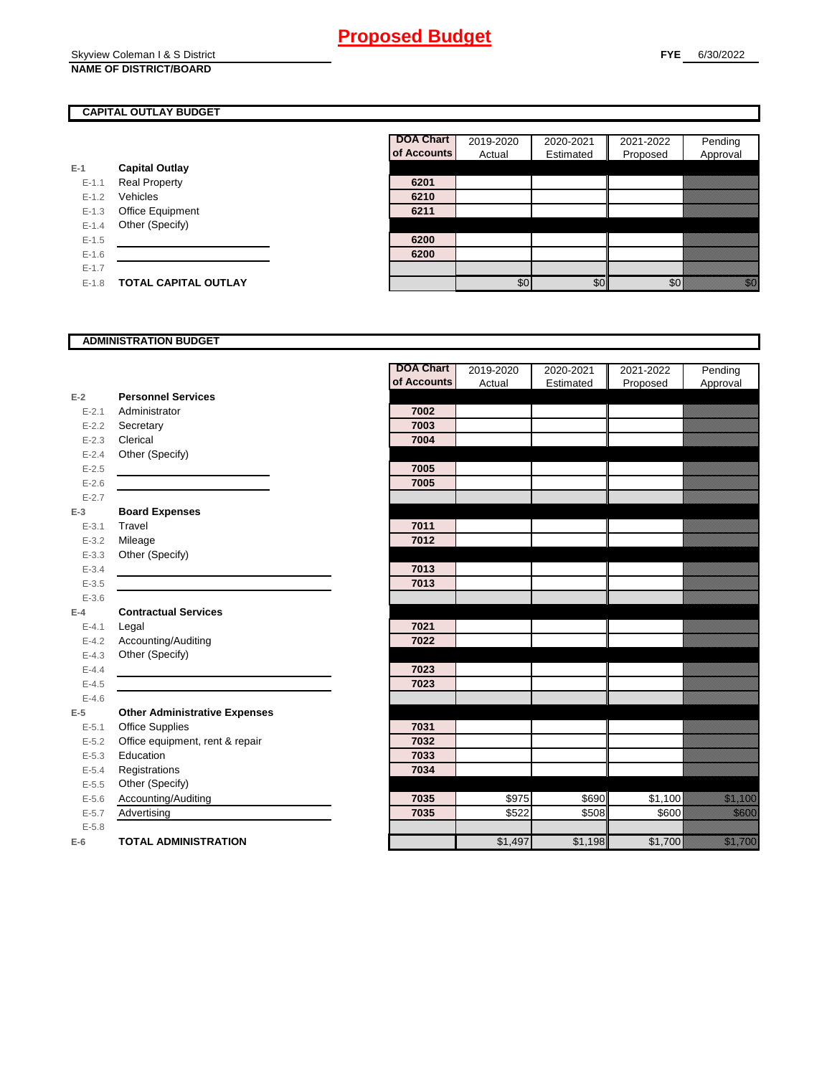#### Skyview Coleman I & S District **NAME OF DISTRICT/BOARD**

## **CAPITAL OUTLAY BUDGET**

|           |                         | UI AUUU |
|-----------|-------------------------|---------|
| $E-1$     | <b>Capital Outlay</b>   |         |
| $E - 1.1$ | <b>Real Property</b>    | 6201    |
| $E - 1.2$ | Vehicles                | 6210    |
| $E - 1.3$ | <b>Office Equipment</b> | 6211    |
| $E - 1.4$ | Other (Specify)         |         |
| $E - 1.5$ |                         | 6200    |
| $E - 1.6$ |                         | 6200    |
| $E - 1.7$ |                         |         |
| $E-1.8$   | TOTAL CAPITAL OUTLAY    |         |

| DOA Chart   | 2019-2020 | 2020-2021 | 2021-2022 | Pending  |
|-------------|-----------|-----------|-----------|----------|
| of Accounts | Actual    | Estimated | Proposed  | Approval |
|             |           |           |           |          |
| 6201        |           |           |           |          |
| 6210        |           |           |           |          |
| 6211        |           |           |           |          |
|             |           |           |           |          |
| 6200        |           |           |           |          |
| 6200        |           |           |           |          |
|             |           |           |           |          |
|             |           |           |           |          |

## **ADMINISTRATION BUDGET**

|           |                                      | <b>DOA Chart</b> | 2019-2020 | 2020-2021 | 2021-2022 | Pending                                                                                                                                                                                                                         |
|-----------|--------------------------------------|------------------|-----------|-----------|-----------|---------------------------------------------------------------------------------------------------------------------------------------------------------------------------------------------------------------------------------|
|           |                                      | of Accounts      | Actual    | Estimated | Proposed  | Approval                                                                                                                                                                                                                        |
| $E-2$     | <b>Personnel Services</b>            |                  |           |           |           |                                                                                                                                                                                                                                 |
| $E - 2.1$ | Administrator                        | 7002             |           |           |           |                                                                                                                                                                                                                                 |
| $E - 2.2$ | Secretary                            | 7003             |           |           |           |                                                                                                                                                                                                                                 |
| $E - 2.3$ | Clerical                             | 7004             |           |           |           |                                                                                                                                                                                                                                 |
| $E - 2.4$ | Other (Specify)                      |                  |           |           |           |                                                                                                                                                                                                                                 |
| $E - 2.5$ |                                      | 7005             |           |           |           |                                                                                                                                                                                                                                 |
| $E - 2.6$ |                                      | 7005             |           |           |           |                                                                                                                                                                                                                                 |
| $E - 2.7$ |                                      |                  |           |           |           |                                                                                                                                                                                                                                 |
| $E-3$     | <b>Board Expenses</b>                |                  |           |           |           |                                                                                                                                                                                                                                 |
| $E - 3.1$ | Travel                               | 7011             |           |           |           |                                                                                                                                                                                                                                 |
| $E - 3.2$ | Mileage                              | 7012             |           |           |           |                                                                                                                                                                                                                                 |
| $E - 3.3$ | Other (Specify)                      |                  |           |           |           |                                                                                                                                                                                                                                 |
| $E - 3.4$ |                                      | 7013             |           |           |           |                                                                                                                                                                                                                                 |
| $E - 3.5$ |                                      | 7013             |           |           |           |                                                                                                                                                                                                                                 |
| $E - 3.6$ |                                      |                  |           |           |           |                                                                                                                                                                                                                                 |
| $E-4$     | <b>Contractual Services</b>          |                  |           |           |           |                                                                                                                                                                                                                                 |
| $E - 4.1$ | Legal                                | 7021             |           |           |           |                                                                                                                                                                                                                                 |
| $E - 4.2$ | Accounting/Auditing                  | 7022             |           |           |           |                                                                                                                                                                                                                                 |
| $E - 4.3$ | Other (Specify)                      |                  |           |           |           |                                                                                                                                                                                                                                 |
| $E-4.4$   |                                      | 7023             |           |           |           |                                                                                                                                                                                                                                 |
| $E-4.5$   |                                      | 7023             |           |           |           |                                                                                                                                                                                                                                 |
| $E - 4.6$ |                                      |                  |           |           |           |                                                                                                                                                                                                                                 |
| $E-5$     | <b>Other Administrative Expenses</b> |                  |           |           |           |                                                                                                                                                                                                                                 |
| $E - 5.1$ | <b>Office Supplies</b>               | 7031             |           |           |           |                                                                                                                                                                                                                                 |
| $E - 5.2$ | Office equipment, rent & repair      | 7032             |           |           |           |                                                                                                                                                                                                                                 |
| $E - 5.3$ | Education                            | 7033             |           |           |           |                                                                                                                                                                                                                                 |
| $E - 5.4$ | Registrations                        | 7034             |           |           |           |                                                                                                                                                                                                                                 |
| $E-5.5$   | Other (Specify)                      |                  |           |           |           |                                                                                                                                                                                                                                 |
| $E - 5.6$ | Accounting/Auditing                  | 7035             | \$975     | \$690     | \$1,100   | a katalunggal dan katalunggal dan katalunggal dan katalunggal dan katalunggal dan katalunggal dan katalunggal<br>Katalunggal dan katalunggal dan katalunggal dan katalunggal dan katalunggal dan katalunggal dan katalunggal da |
| $E - 5.7$ | Advertising                          | 7035             | \$522     | \$508     | \$600     | <u> Karatanan Seringan Baga</u>                                                                                                                                                                                                 |
| $E - 5.8$ |                                      |                  |           |           |           |                                                                                                                                                                                                                                 |
| $E-6$     | <b>TOTAL ADMINISTRATION</b>          |                  | \$1,497   | \$1,198   | \$1,700   | a katika katika katika katika katika katika alifuwa alifuwa alifuwa alifuwa alifuwa alifuwa alifuwa alifuwa a<br>Marejeo                                                                                                        |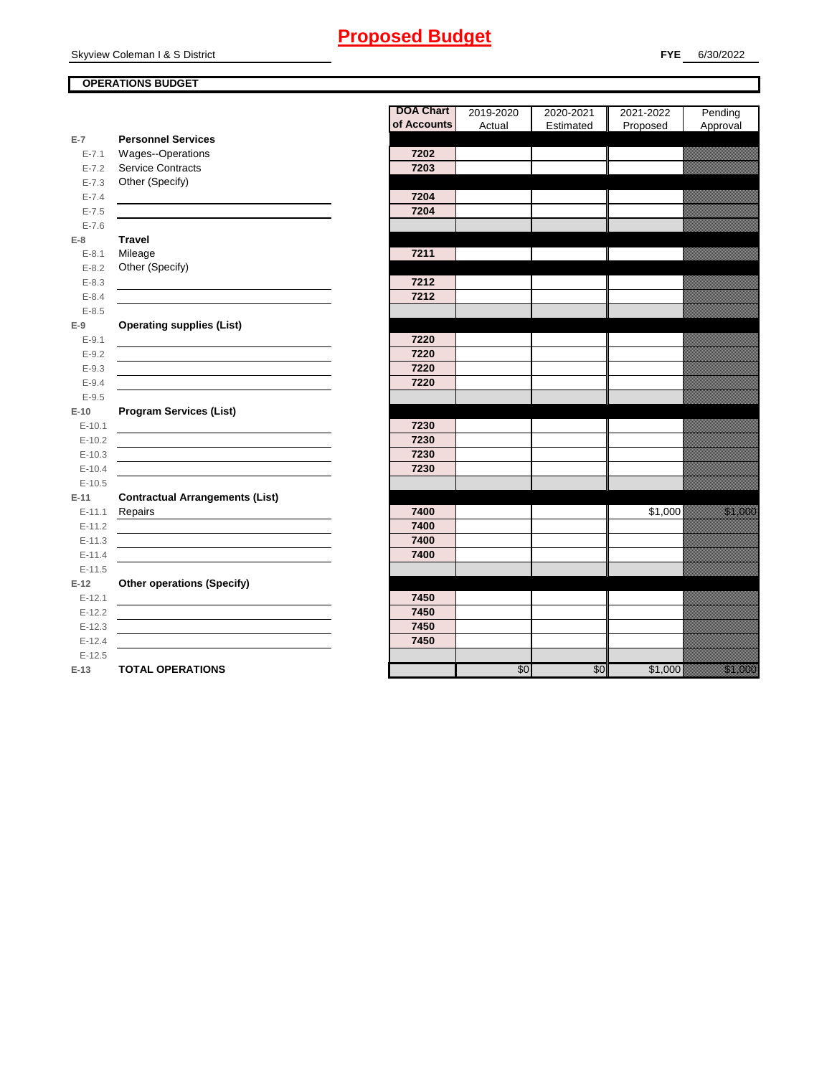Skyview Coleman I & S District

#### **OPERATIONS BUDGET**

|                        |                                                                                                                      | <b>DOA Chart</b> | 2019-2020 | 2020-2021 | 2021-2022 | Pending                                                                                                                                                                                                                                |
|------------------------|----------------------------------------------------------------------------------------------------------------------|------------------|-----------|-----------|-----------|----------------------------------------------------------------------------------------------------------------------------------------------------------------------------------------------------------------------------------------|
|                        |                                                                                                                      | of Accounts      | Actual    | Estimated | Proposed  | Approval                                                                                                                                                                                                                               |
| $E-7$<br>$E - 7.1$     | <b>Personnel Services</b><br><b>Wages--Operations</b>                                                                | 7202             |           |           |           |                                                                                                                                                                                                                                        |
| $E - 7.2$              | Service Contracts                                                                                                    | 7203             |           |           |           |                                                                                                                                                                                                                                        |
|                        | Other (Specify)                                                                                                      |                  |           |           |           |                                                                                                                                                                                                                                        |
| $E - 7.3$<br>$E - 7.4$ |                                                                                                                      | 7204             |           |           |           |                                                                                                                                                                                                                                        |
| $E - 7.5$              |                                                                                                                      | 7204             |           |           |           |                                                                                                                                                                                                                                        |
| $E - 7.6$              |                                                                                                                      |                  |           |           |           |                                                                                                                                                                                                                                        |
| $E-8$                  | <b>Travel</b>                                                                                                        |                  |           |           |           |                                                                                                                                                                                                                                        |
| $E-8.1$                | Mileage                                                                                                              | 7211             |           |           |           |                                                                                                                                                                                                                                        |
| $E - 8.2$              | Other (Specify)                                                                                                      |                  |           |           |           |                                                                                                                                                                                                                                        |
| $E - 8.3$              |                                                                                                                      | 7212             |           |           |           |                                                                                                                                                                                                                                        |
| $E - 8.4$              |                                                                                                                      | 7212             |           |           |           |                                                                                                                                                                                                                                        |
| $E - 8.5$              |                                                                                                                      |                  |           |           |           |                                                                                                                                                                                                                                        |
| $E-9$                  | <b>Operating supplies (List)</b>                                                                                     |                  |           |           |           |                                                                                                                                                                                                                                        |
| $E - 9.1$              |                                                                                                                      | 7220             |           |           |           |                                                                                                                                                                                                                                        |
| $E - 9.2$              |                                                                                                                      | 7220             |           |           |           |                                                                                                                                                                                                                                        |
| $E - 9.3$              |                                                                                                                      | 7220             |           |           |           |                                                                                                                                                                                                                                        |
| $E - 9.4$              | <u> 1989 - Johann Barbara, martin amerikan basar dan basar dan basar dan basar dalam basar dalam basar dan basar</u> | 7220             |           |           |           |                                                                                                                                                                                                                                        |
| $E - 9.5$              |                                                                                                                      |                  |           |           |           |                                                                                                                                                                                                                                        |
| $E-10$                 | <b>Program Services (List)</b>                                                                                       |                  |           |           |           |                                                                                                                                                                                                                                        |
| $E-10.1$               |                                                                                                                      | 7230             |           |           |           |                                                                                                                                                                                                                                        |
| $E-10.2$               |                                                                                                                      | 7230             |           |           |           |                                                                                                                                                                                                                                        |
| $E-10.3$               |                                                                                                                      | 7230             |           |           |           |                                                                                                                                                                                                                                        |
| $E-10.4$               |                                                                                                                      | 7230             |           |           |           |                                                                                                                                                                                                                                        |
| $E-10.5$               |                                                                                                                      |                  |           |           |           |                                                                                                                                                                                                                                        |
| $E-11$                 | <b>Contractual Arrangements (List)</b>                                                                               |                  |           |           |           |                                                                                                                                                                                                                                        |
| $E-11.1$               | Repairs                                                                                                              | 7400             |           |           | \$1,000   | <u>ta kalendari sebagai per</u>                                                                                                                                                                                                        |
| $E-11.2$               | <u> 1989 - Johann Barn, mars ann an t-Amhain Aonaich an t-Aonaich an t-Aonaich ann an t-Aonaich ann an t-Aonaich</u> | 7400             |           |           |           |                                                                                                                                                                                                                                        |
| $E-11.3$               |                                                                                                                      | 7400             |           |           |           |                                                                                                                                                                                                                                        |
| $E-11.4$               |                                                                                                                      | 7400             |           |           |           |                                                                                                                                                                                                                                        |
| $E-11.5$               |                                                                                                                      |                  |           |           |           |                                                                                                                                                                                                                                        |
| $E-12$                 | <b>Other operations (Specify)</b>                                                                                    |                  |           |           |           |                                                                                                                                                                                                                                        |
| $E-12.1$               |                                                                                                                      | 7450             |           |           |           |                                                                                                                                                                                                                                        |
| $E-12.2$               |                                                                                                                      | 7450             |           |           |           |                                                                                                                                                                                                                                        |
| $E-12.3$               |                                                                                                                      | 7450             |           |           |           |                                                                                                                                                                                                                                        |
| $E-12.4$               |                                                                                                                      | 7450             |           |           |           |                                                                                                                                                                                                                                        |
| $E-12.5$               |                                                                                                                      |                  |           |           |           |                                                                                                                                                                                                                                        |
| $E-13$                 | <b>TOTAL OPERATIONS</b>                                                                                              |                  | \$0       | \$0       | \$1,000   | <u>i k</u> alendari komunistas komunistas komunistas komunistas komunistas komunistas komunistas komunistas komunista<br>Komunistas komunistas komunistas komunistas komunistas komunistas komunistas komunistas komunistas komunistas |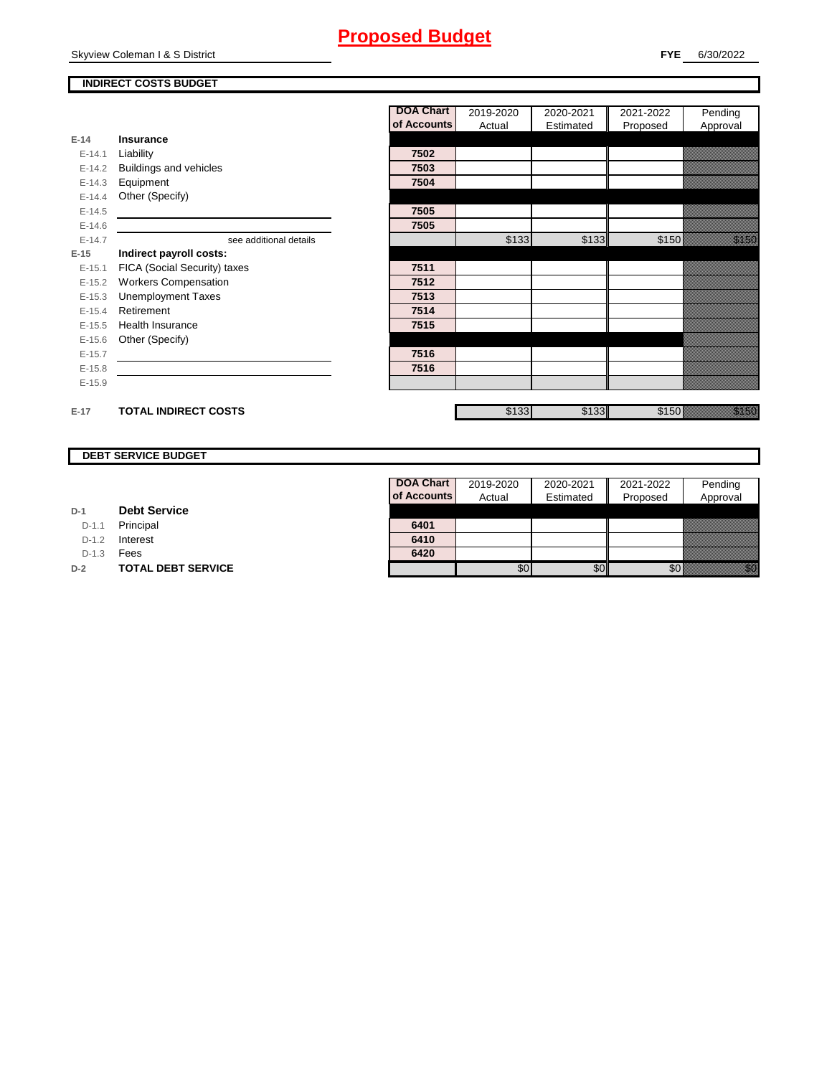Skyview Coleman I & S District

## **INDIRECT COSTS BUDGET**

|          |                              | <b>DOA Chart</b> | 2019-2020 | 2020-2021 | 2021-2022 | Pending              |
|----------|------------------------------|------------------|-----------|-----------|-----------|----------------------|
|          |                              | of Accounts      | Actual    | Estimated | Proposed  | Approval             |
| $E-14$   | Insurance                    |                  |           |           |           |                      |
| $E-14.1$ | Liability                    | 7502             |           |           |           |                      |
| $E-14.2$ | Buildings and vehicles       | 7503             |           |           |           |                      |
| $E-14.3$ | Equipment                    | 7504             |           |           |           |                      |
| $E-14.4$ | Other (Specify)              |                  |           |           |           |                      |
| $E-14.5$ |                              | 7505             |           |           |           |                      |
| $E-14.6$ |                              | 7505             |           |           |           |                      |
| $E-14.7$ | see additional details       |                  | \$133     | \$133     | \$150     | <u> Kalendari Se</u> |
| $E-15$   | Indirect payroll costs:      |                  |           |           |           |                      |
| $E-15.1$ | FICA (Social Security) taxes | 7511             |           |           |           |                      |
| $E-15.2$ | <b>Workers Compensation</b>  | 7512             |           |           |           |                      |
| $E-15.3$ | <b>Unemployment Taxes</b>    | 7513             |           |           |           |                      |
| $E-15.4$ | Retirement                   | 7514             |           |           |           |                      |
| $E-15.5$ | Health Insurance             | 7515             |           |           |           |                      |
| $E-15.6$ | Other (Specify)              |                  |           |           |           |                      |
| $E-15.7$ |                              | 7516             |           |           |           |                      |
| $E-15.8$ |                              | 7516             |           |           |           |                      |
| $E-15.9$ |                              |                  |           |           |           |                      |
| $E-17$   | <b>TOTAL INDIRECT COSTS</b>  |                  | \$133     | \$133     | \$150     | <u>tional</u>        |

## **DEBT SERVICE BUDGET**

| D-1 | <b>Debt Service</b> |  |
|-----|---------------------|--|
|     |                     |  |

D-1.1 **Principal** 

D-1.2 **Interest** 

D-1.3 **Fees** 

**D-2 TOTAL DEBT SERVICE** 

| <b>DOA Chart</b> | 2019-2020 | 2020-2021 | 2021-2022 | Pending  |
|------------------|-----------|-----------|-----------|----------|
| of Accounts      | Actual    | Estimated | Proposed  | Approval |
|                  |           |           |           |          |
| 6401             |           |           |           |          |
| 6410             |           |           |           |          |
| 6420             |           |           |           |          |
|                  |           |           |           |          |